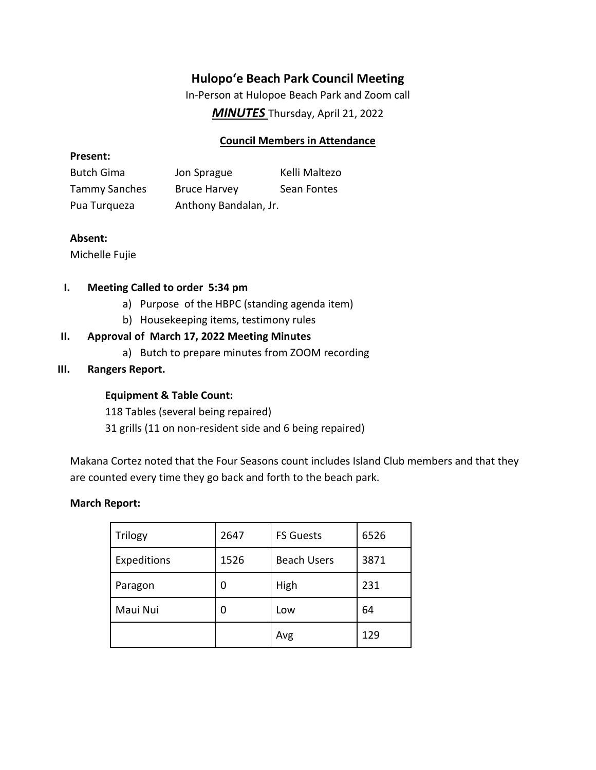# **Hulopoʻe Beach Park Council Meeting**

In-Person at Hulopoe Beach Park and Zoom call

*MINUTES* Thursday, April 21, 2022

## **Council Members in Attendance**

#### **Present:**

| <b>Butch Gima</b>    | Jon Sprague           | Kelli Maltezo |
|----------------------|-----------------------|---------------|
| <b>Tammy Sanches</b> | <b>Bruce Harvey</b>   | Sean Fontes   |
| Pua Turqueza         | Anthony Bandalan, Jr. |               |

## **Absent:**

Michelle Fujie

#### **I. Meeting Called to order 5:34 pm**

- a) Purpose of the HBPC (standing agenda item)
- b) Housekeeping items, testimony rules

## **II. Approval of March 17, 2022 Meeting Minutes**

a) Butch to prepare minutes from ZOOM recording

## **III. Rangers Report.**

## **Equipment & Table Count:**

118 Tables (several being repaired)

31 grills (11 on non-resident side and 6 being repaired)

Makana Cortez noted that the Four Seasons count includes Island Club members and that they are counted every time they go back and forth to the beach park.

#### **March Report:**

| Trilogy     | 2647 | <b>FS Guests</b>   | 6526 |
|-------------|------|--------------------|------|
| Expeditions | 1526 | <b>Beach Users</b> | 3871 |
| Paragon     | 0    | High               | 231  |
| Maui Nui    | 0    | Low                | 64   |
|             |      | Avg                | 129  |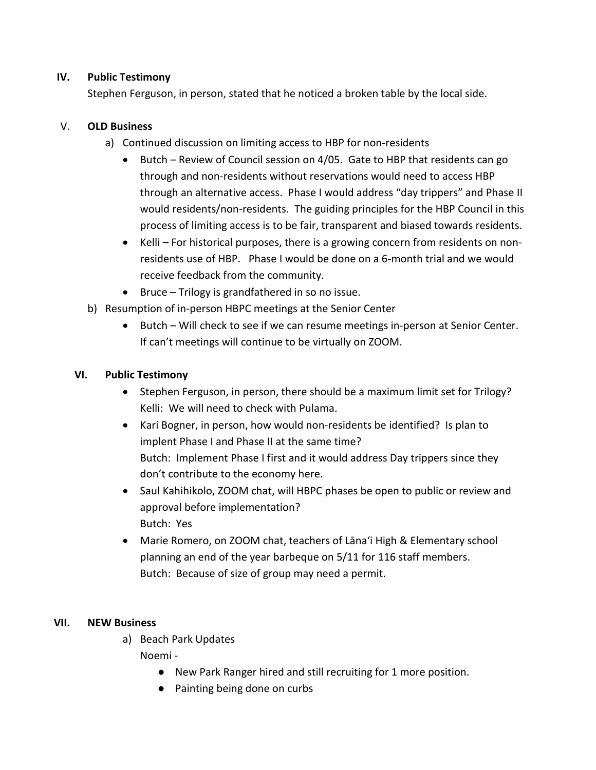#### **IV. Public Testimony**

Stephen Ferguson, in person, stated that he noticed a broken table by the local side.

## V. **OLD Business**

- a) Continued discussion on limiting access to HBP for non-residents
	- Butch Review of Council session on 4/05. Gate to HBP that residents can go through and non-residents without reservations would need to access HBP through an alternative access. Phase I would address "day trippers" and Phase II would residents/non-residents. The guiding principles for the HBP Council in this process of limiting access is to be fair, transparent and biased towards residents.
	- Kelli For historical purposes, there is a growing concern from residents on nonresidents use of HBP. Phase I would be done on a 6-month trial and we would receive feedback from the community.
	- Bruce Trilogy is grandfathered in so no issue.
- b) Resumption of in-person HBPC meetings at the Senior Center
	- Butch Will check to see if we can resume meetings in-person at Senior Center. If can't meetings will continue to be virtually on ZOOM.

## **VI. Public Testimony**

- Stephen Ferguson, in person, there should be a maximum limit set for Trilogy? Kelli: We will need to check with Pulama.
- Kari Bogner, in person, how would non-residents be identified? Is plan to implent Phase I and Phase II at the same time? Butch: Implement Phase I first and it would address Day trippers since they don't contribute to the economy here.
- Saul Kahihikolo, ZOOM chat, will HBPC phases be open to public or review and approval before implementation? Butch: Yes
- Marie Romero, on ZOOM chat, teachers of Lāna'i High & Elementary school planning an end of the year barbeque on 5/11 for 116 staff members. Butch: Because of size of group may need a permit.

## **VII. NEW Business**

a) Beach Park Updates

Noemi -

- New Park Ranger hired and still recruiting for 1 more position.
- Painting being done on curbs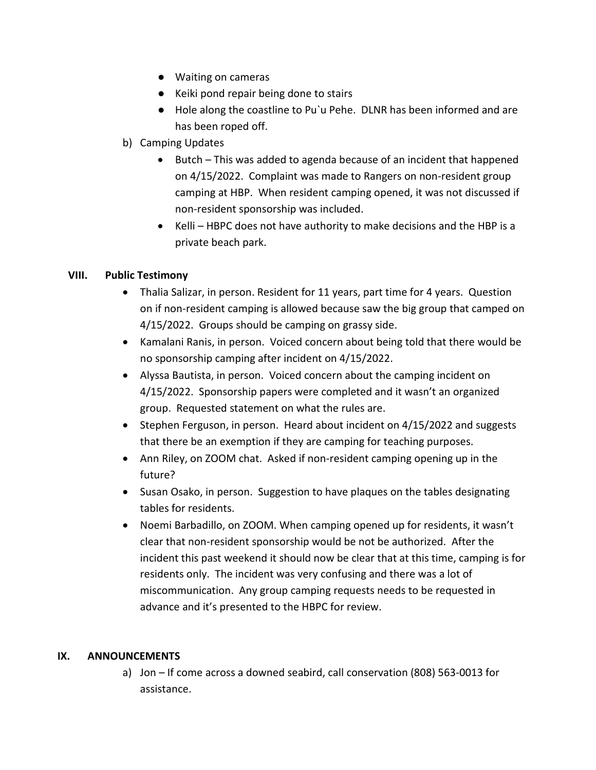- Waiting on cameras
- Keiki pond repair being done to stairs
- Hole along the coastline to Pu`u Pehe. DLNR has been informed and are has been roped off.
- b) Camping Updates
	- Butch This was added to agenda because of an incident that happened on 4/15/2022. Complaint was made to Rangers on non-resident group camping at HBP. When resident camping opened, it was not discussed if non-resident sponsorship was included.
	- Kelli HBPC does not have authority to make decisions and the HBP is a private beach park.

## **VIII. Public Testimony**

- Thalia Salizar, in person. Resident for 11 years, part time for 4 years. Question on if non-resident camping is allowed because saw the big group that camped on 4/15/2022. Groups should be camping on grassy side.
- Kamalani Ranis, in person. Voiced concern about being told that there would be no sponsorship camping after incident on 4/15/2022.
- Alyssa Bautista, in person. Voiced concern about the camping incident on 4/15/2022. Sponsorship papers were completed and it wasn't an organized group. Requested statement on what the rules are.
- Stephen Ferguson, in person. Heard about incident on 4/15/2022 and suggests that there be an exemption if they are camping for teaching purposes.
- Ann Riley, on ZOOM chat. Asked if non-resident camping opening up in the future?
- Susan Osako, in person. Suggestion to have plaques on the tables designating tables for residents.
- Noemi Barbadillo, on ZOOM. When camping opened up for residents, it wasn't clear that non-resident sponsorship would be not be authorized. After the incident this past weekend it should now be clear that at this time, camping is for residents only. The incident was very confusing and there was a lot of miscommunication. Any group camping requests needs to be requested in advance and it's presented to the HBPC for review.

#### **IX. ANNOUNCEMENTS**

a) Jon – If come across a downed seabird, call conservation (808) 563-0013 for assistance.